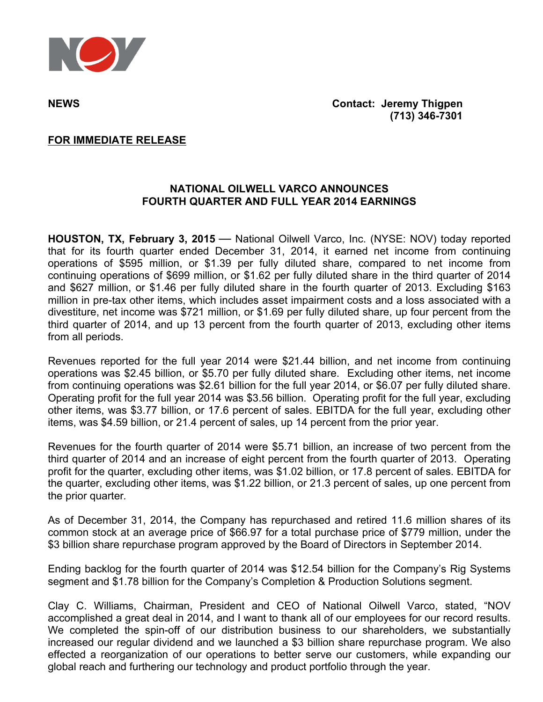

**NEWS Contact: Jeremy Thigpen (713) 346-7301**

### **FOR IMMEDIATE RELEASE**

## **NATIONAL OILWELL VARCO ANNOUNCES FOURTH QUARTER AND FULL YEAR 2014 EARNINGS**

**HOUSTON, TX, February 3, 2015** — National Oilwell Varco, Inc. (NYSE: NOV) today reported that for its fourth quarter ended December 31, 2014, it earned net income from continuing operations of \$595 million, or \$1.39 per fully diluted share, compared to net income from continuing operations of \$699 million, or \$1.62 per fully diluted share in the third quarter of 2014 and \$627 million, or \$1.46 per fully diluted share in the fourth quarter of 2013. Excluding \$163 million in pre-tax other items, which includes asset impairment costs and a loss associated with a divestiture, net income was \$721 million, or \$1.69 per fully diluted share, up four percent from the third quarter of 2014, and up 13 percent from the fourth quarter of 2013, excluding other items from all periods.

Revenues reported for the full year 2014 were \$21.44 billion, and net income from continuing operations was \$2.45 billion, or \$5.70 per fully diluted share. Excluding other items, net income from continuing operations was \$2.61 billion for the full year 2014, or \$6.07 per fully diluted share. Operating profit for the full year 2014 was \$3.56 billion. Operating profit for the full year, excluding other items, was \$3.77 billion, or 17.6 percent of sales. EBITDA for the full year, excluding other items, was \$4.59 billion, or 21.4 percent of sales, up 14 percent from the prior year.

Revenues for the fourth quarter of 2014 were \$5.71 billion, an increase of two percent from the third quarter of 2014 and an increase of eight percent from the fourth quarter of 2013. Operating profit for the quarter, excluding other items, was \$1.02 billion, or 17.8 percent of sales. EBITDA for the quarter, excluding other items, was \$1.22 billion, or 21.3 percent of sales, up one percent from the prior quarter*.*

As of December 31, 2014, the Company has repurchased and retired 11.6 million shares of its common stock at an average price of \$66.97 for a total purchase price of \$779 million, under the \$3 billion share repurchase program approved by the Board of Directors in September 2014.

Ending backlog for the fourth quarter of 2014 was \$12.54 billion for the Company's Rig Systems segment and \$1.78 billion for the Company's Completion & Production Solutions segment.

Clay C. Williams, Chairman, President and CEO of National Oilwell Varco, stated, "NOV accomplished a great deal in 2014, and I want to thank all of our employees for our record results. We completed the spin-off of our distribution business to our shareholders, we substantially increased our regular dividend and we launched a \$3 billion share repurchase program. We also effected a reorganization of our operations to better serve our customers, while expanding our global reach and furthering our technology and product portfolio through the year.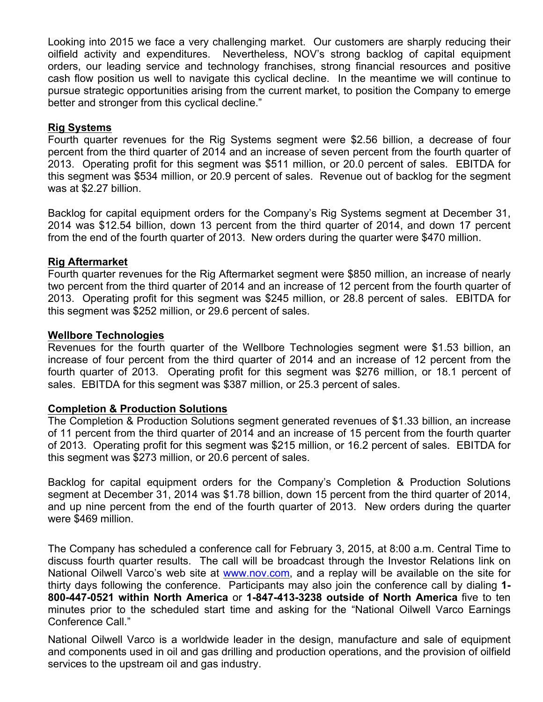Looking into 2015 we face a very challenging market. Our customers are sharply reducing their oilfield activity and expenditures. Nevertheless, NOV's strong backlog of capital equipment orders, our leading service and technology franchises, strong financial resources and positive cash flow position us well to navigate this cyclical decline. In the meantime we will continue to pursue strategic opportunities arising from the current market, to position the Company to emerge better and stronger from this cyclical decline."

# **Rig Systems**

Fourth quarter revenues for the Rig Systems segment were \$2.56 billion, a decrease of four percent from the third quarter of 2014 and an increase of seven percent from the fourth quarter of 2013. Operating profit for this segment was \$511 million, or 20.0 percent of sales. EBITDA for this segment was \$534 million, or 20.9 percent of sales. Revenue out of backlog for the segment was at \$2.27 billion.

Backlog for capital equipment orders for the Company's Rig Systems segment at December 31, 2014 was \$12.54 billion, down 13 percent from the third quarter of 2014, and down 17 percent from the end of the fourth quarter of 2013. New orders during the quarter were \$470 million.

## **Rig Aftermarket**

Fourth quarter revenues for the Rig Aftermarket segment were \$850 million, an increase of nearly two percent from the third quarter of 2014 and an increase of 12 percent from the fourth quarter of 2013. Operating profit for this segment was \$245 million, or 28.8 percent of sales. EBITDA for this segment was \$252 million, or 29.6 percent of sales.

## **Wellbore Technologies**

Revenues for the fourth quarter of the Wellbore Technologies segment were \$1.53 billion, an increase of four percent from the third quarter of 2014 and an increase of 12 percent from the fourth quarter of 2013. Operating profit for this segment was \$276 million, or 18.1 percent of sales. EBITDA for this segment was \$387 million, or 25.3 percent of sales.

## **Completion & Production Solutions**

The Completion & Production Solutions segment generated revenues of \$1.33 billion, an increase of 11 percent from the third quarter of 2014 and an increase of 15 percent from the fourth quarter of 2013. Operating profit for this segment was \$215 million, or 16.2 percent of sales. EBITDA for this segment was \$273 million, or 20.6 percent of sales.

Backlog for capital equipment orders for the Company's Completion & Production Solutions segment at December 31, 2014 was \$1.78 billion, down 15 percent from the third quarter of 2014, and up nine percent from the end of the fourth quarter of 2013. New orders during the quarter were \$469 million.

The Company has scheduled a conference call for February 3, 2015, at 8:00 a.m. Central Time to discuss fourth quarter results. The call will be broadcast through the Investor Relations link on National Oilwell Varco's web site at www.nov.com, and a replay will be available on the site for thirty days following the conference. Participants may also join the conference call by dialing **1- 800-447-0521 within North America** or **1-847-413-3238 outside of North America** five to ten minutes prior to the scheduled start time and asking for the "National Oilwell Varco Earnings Conference Call."

National Oilwell Varco is a worldwide leader in the design, manufacture and sale of equipment and components used in oil and gas drilling and production operations, and the provision of oilfield services to the upstream oil and gas industry.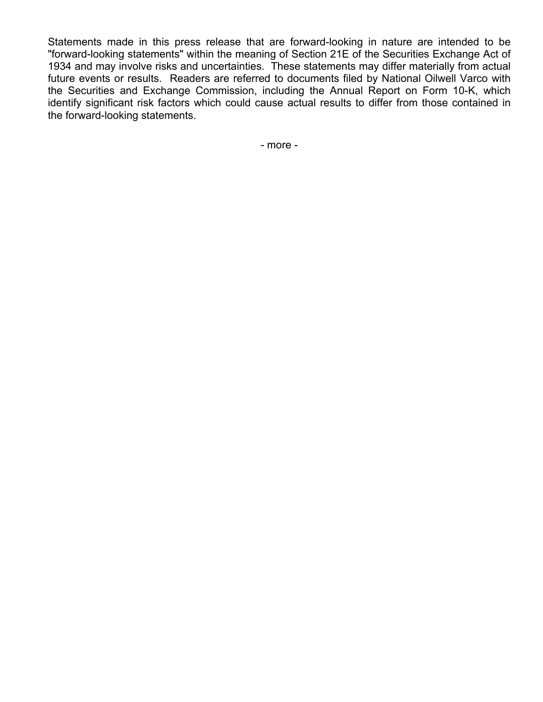Statements made in this press release that are forward-looking in nature are intended to be "forward-looking statements" within the meaning of Section 21E of the Securities Exchange Act of 1934 and may involve risks and uncertainties. These statements may differ materially from actual future events or results. Readers are referred to documents filed by National Oilwell Varco with the Securities and Exchange Commission, including the Annual Report on Form 10-K, which identify significant risk factors which could cause actual results to differ from those contained in the forward-looking statements.

- more -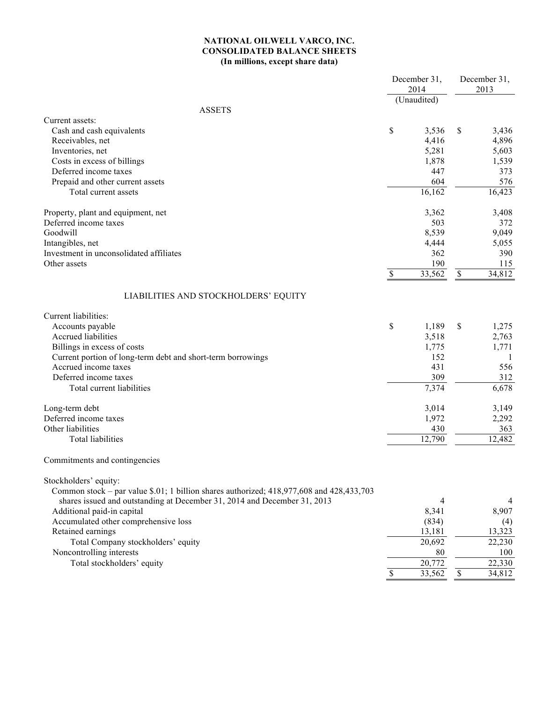### **NATIONAL OILWELL VARCO, INC. CONSOLIDATED BALANCE SHEETS (In millions, except share data)**

|                                                                                                                                                                                                                                                                                                                                                                                           | December 31,<br>2014<br>(Unaudited) |                                                         |             | December 31,<br>2013                                   |  |
|-------------------------------------------------------------------------------------------------------------------------------------------------------------------------------------------------------------------------------------------------------------------------------------------------------------------------------------------------------------------------------------------|-------------------------------------|---------------------------------------------------------|-------------|--------------------------------------------------------|--|
| <b>ASSETS</b>                                                                                                                                                                                                                                                                                                                                                                             |                                     |                                                         |             |                                                        |  |
| Current assets:<br>Cash and cash equivalents<br>Receivables, net<br>Inventories, net<br>Costs in excess of billings                                                                                                                                                                                                                                                                       | \$                                  | 3,536<br>4,416<br>5,281<br>1,878                        | \$          | 3,436<br>4,896<br>5,603<br>1,539                       |  |
| Deferred income taxes<br>Prepaid and other current assets<br>Total current assets                                                                                                                                                                                                                                                                                                         |                                     | 447<br>604<br>16,162                                    |             | 373<br>576<br>16,423                                   |  |
| Property, plant and equipment, net<br>Deferred income taxes<br>Goodwill<br>Intangibles, net<br>Investment in unconsolidated affiliates<br>Other assets                                                                                                                                                                                                                                    | $\mathbb{S}$                        | 3,362<br>503<br>8,539<br>4,444<br>362<br>190<br>33,562  | \$          | 3,408<br>372<br>9,049<br>5,055<br>390<br>115<br>34,812 |  |
| LIABILITIES AND STOCKHOLDERS' EQUITY                                                                                                                                                                                                                                                                                                                                                      |                                     |                                                         |             |                                                        |  |
| Current liabilities:<br>Accounts payable<br><b>Accrued liabilities</b><br>Billings in excess of costs<br>Current portion of long-term debt and short-term borrowings<br>Accrued income taxes<br>Deferred income taxes<br>Total current liabilities                                                                                                                                        | \$                                  | 1,189<br>3,518<br>1,775<br>152<br>431<br>309<br>7,374   | \$          | 1,275<br>2,763<br>1,771<br>1<br>556<br>312<br>6,678    |  |
| Long-term debt<br>Deferred income taxes<br>Other liabilities<br><b>Total liabilities</b>                                                                                                                                                                                                                                                                                                  |                                     | 3,014<br>1,972<br>430<br>12,790                         |             | 3,149<br>2,292<br>363<br>12,482                        |  |
| Commitments and contingencies                                                                                                                                                                                                                                                                                                                                                             |                                     |                                                         |             |                                                        |  |
| Stockholders' equity:<br>Common stock – par value $$.01; 1$ billion shares authorized; 418,977,608 and 428,433,703<br>shares issued and outstanding at December 31, 2014 and December 31, 2013<br>Additional paid-in capital<br>Accumulated other comprehensive loss<br>Retained earnings<br>Total Company stockholders' equity<br>Noncontrolling interests<br>Total stockholders' equity |                                     | 4<br>8,341<br>(834)<br>13,181<br>20,692<br>80<br>20,772 |             | 4<br>8,907<br>(4)<br>13,323<br>22,230<br>100<br>22,330 |  |
|                                                                                                                                                                                                                                                                                                                                                                                           | $\mathbb{S}$                        | 33,562                                                  | $\mathbb S$ | 34,812                                                 |  |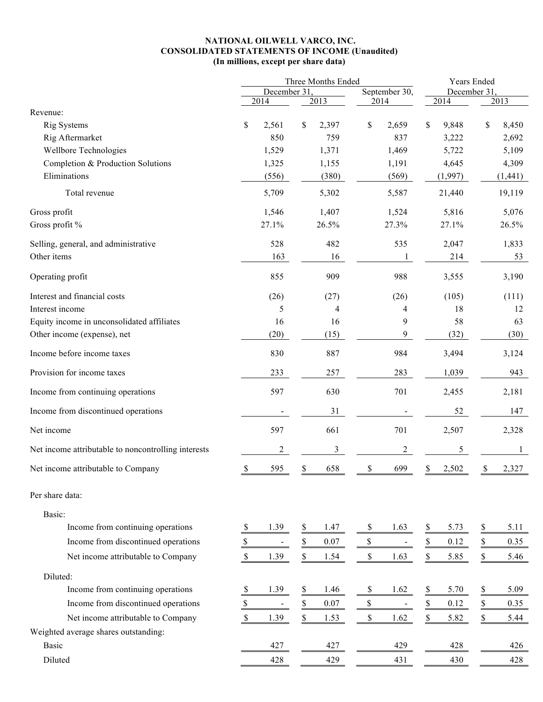### **NATIONAL OILWELL VARCO, INC. CONSOLIDATED STATEMENTS OF INCOME (Unaudited) (In millions, except per share data)**

| December 31<br>December 31<br>2014<br>2013<br>2014<br>2014<br>2013<br>Revenue:<br>\$<br>\$<br>\$<br>Rig Systems<br>2,561<br>\$<br>2,397<br>2,659<br>\$<br>9,848<br>8,450<br>Rig Aftermarket<br>850<br>759<br>837<br>3,222<br>2,692<br>Wellbore Technologies<br>5,722<br>1,529<br>1,371<br>1,469<br>5,109<br>Completion & Production Solutions<br>1,325<br>1,155<br>1,191<br>4,645<br>4,309<br>Eliminations<br>(556)<br>(380)<br>(569)<br>(1,997)<br>(1, 441)<br>5,709<br>5,302<br>5,587<br>21,440<br>19,119<br>Total revenue<br>5,076<br>Gross profit<br>1,546<br>1,407<br>1,524<br>5,816<br>Gross profit %<br>27.1%<br>27.3%<br>26.5%<br>27.1%<br>26.5%<br>Selling, general, and administrative<br>528<br>482<br>535<br>2,047<br>1,833<br>Other items<br>163<br>214<br>16<br>1<br>53<br>Operating profit<br>855<br>909<br>988<br>3,555<br>3,190<br>Interest and financial costs<br>(105)<br>(111)<br>(26)<br>(27)<br>(26)<br>Interest income<br>5<br>18<br>4<br>4<br>12<br>9<br>58<br>Equity income in unconsolidated affiliates<br>16<br>16<br>63<br>9<br>Other income (expense), net<br>(20)<br>(15)<br>(32)<br>(30)<br>830<br>887<br>984<br>Income before income taxes<br>3,494<br>3,124<br>Provision for income taxes<br>233<br>257<br>283<br>1,039<br>943<br>597<br>630<br>701<br>Income from continuing operations<br>2,455<br>2,181<br>Income from discontinued operations<br>31<br>52<br>147<br>597<br>661<br>701<br>Net income<br>2,507<br>2,328<br>$\mathfrak{Z}$<br>$\boldsymbol{2}$<br>Net income attributable to noncontrolling interests<br>$\overline{c}$<br>5<br>1<br>$\overline{\mathcal{E}}$<br>658<br>Net income attributable to Company<br>595<br>\$<br>\$<br>699<br>2,502<br>\$<br>$\overline{\mathcal{L}}$<br>2,327<br>Per share data:<br>Basic:<br>Income from continuing operations<br>\$<br>5.11<br>1.39<br>\$<br>1.47<br>\$<br>1.63<br>5.73<br>\$<br>\$<br>Income from discontinued operations<br>$\frac{\mathcal{S}}{\mathcal{S}}$<br>$\mathbb S$<br>$\frac{1}{2}$<br>\$<br>$0.07\,$<br>\$<br>0.12<br>0.35<br>$\mathbb{S}$<br>Net income attributable to Company<br>$\mathbb S$<br>\$<br>\$<br>\$<br>1.39<br>1.54<br>1.63<br>5.85<br>5.46<br>Diluted:<br>Income from continuing operations<br>$\frac{1}{2}$<br>1.39<br>1.46<br>1.62<br>5.70<br>$\frac{1}{2}$<br>5.09<br>\$<br>\$<br>\$<br>\$<br>$\mathbb S$<br>$\mathbb S$<br>$\frac{1}{2}$<br>Income from discontinued operations<br>0.07<br>\$<br>0.12<br>0.35<br>$\blacksquare$<br>$\blacksquare$<br>\$<br>Net income attributable to Company<br>\$<br>$\mathbb S$<br>\$<br>\$<br>1.39<br>1.53<br>1.62<br>5.82<br>5.44<br>Weighted average shares outstanding:<br><b>Basic</b><br>427<br>429<br>428<br>427<br>426<br>Diluted<br>429<br>428<br>431<br>430<br>428 |  | Three Months Ended |  |  |  |               |  | Years Ended |  |  |  |  |  |
|------------------------------------------------------------------------------------------------------------------------------------------------------------------------------------------------------------------------------------------------------------------------------------------------------------------------------------------------------------------------------------------------------------------------------------------------------------------------------------------------------------------------------------------------------------------------------------------------------------------------------------------------------------------------------------------------------------------------------------------------------------------------------------------------------------------------------------------------------------------------------------------------------------------------------------------------------------------------------------------------------------------------------------------------------------------------------------------------------------------------------------------------------------------------------------------------------------------------------------------------------------------------------------------------------------------------------------------------------------------------------------------------------------------------------------------------------------------------------------------------------------------------------------------------------------------------------------------------------------------------------------------------------------------------------------------------------------------------------------------------------------------------------------------------------------------------------------------------------------------------------------------------------------------------------------------------------------------------------------------------------------------------------------------------------------------------------------------------------------------------------------------------------------------------------------------------------------------------------------------------------------------------------------------------------------------------------------------------------------------------------------------------------------------------------------------------------------------------------------------------------------------------------------------------------------------------------------------------------------------------------------------------------------------------------------------------------------------------------------------------|--|--------------------|--|--|--|---------------|--|-------------|--|--|--|--|--|
|                                                                                                                                                                                                                                                                                                                                                                                                                                                                                                                                                                                                                                                                                                                                                                                                                                                                                                                                                                                                                                                                                                                                                                                                                                                                                                                                                                                                                                                                                                                                                                                                                                                                                                                                                                                                                                                                                                                                                                                                                                                                                                                                                                                                                                                                                                                                                                                                                                                                                                                                                                                                                                                                                                                                                |  |                    |  |  |  | September 30, |  |             |  |  |  |  |  |
|                                                                                                                                                                                                                                                                                                                                                                                                                                                                                                                                                                                                                                                                                                                                                                                                                                                                                                                                                                                                                                                                                                                                                                                                                                                                                                                                                                                                                                                                                                                                                                                                                                                                                                                                                                                                                                                                                                                                                                                                                                                                                                                                                                                                                                                                                                                                                                                                                                                                                                                                                                                                                                                                                                                                                |  |                    |  |  |  |               |  |             |  |  |  |  |  |
|                                                                                                                                                                                                                                                                                                                                                                                                                                                                                                                                                                                                                                                                                                                                                                                                                                                                                                                                                                                                                                                                                                                                                                                                                                                                                                                                                                                                                                                                                                                                                                                                                                                                                                                                                                                                                                                                                                                                                                                                                                                                                                                                                                                                                                                                                                                                                                                                                                                                                                                                                                                                                                                                                                                                                |  |                    |  |  |  |               |  |             |  |  |  |  |  |
|                                                                                                                                                                                                                                                                                                                                                                                                                                                                                                                                                                                                                                                                                                                                                                                                                                                                                                                                                                                                                                                                                                                                                                                                                                                                                                                                                                                                                                                                                                                                                                                                                                                                                                                                                                                                                                                                                                                                                                                                                                                                                                                                                                                                                                                                                                                                                                                                                                                                                                                                                                                                                                                                                                                                                |  |                    |  |  |  |               |  |             |  |  |  |  |  |
|                                                                                                                                                                                                                                                                                                                                                                                                                                                                                                                                                                                                                                                                                                                                                                                                                                                                                                                                                                                                                                                                                                                                                                                                                                                                                                                                                                                                                                                                                                                                                                                                                                                                                                                                                                                                                                                                                                                                                                                                                                                                                                                                                                                                                                                                                                                                                                                                                                                                                                                                                                                                                                                                                                                                                |  |                    |  |  |  |               |  |             |  |  |  |  |  |
|                                                                                                                                                                                                                                                                                                                                                                                                                                                                                                                                                                                                                                                                                                                                                                                                                                                                                                                                                                                                                                                                                                                                                                                                                                                                                                                                                                                                                                                                                                                                                                                                                                                                                                                                                                                                                                                                                                                                                                                                                                                                                                                                                                                                                                                                                                                                                                                                                                                                                                                                                                                                                                                                                                                                                |  |                    |  |  |  |               |  |             |  |  |  |  |  |
|                                                                                                                                                                                                                                                                                                                                                                                                                                                                                                                                                                                                                                                                                                                                                                                                                                                                                                                                                                                                                                                                                                                                                                                                                                                                                                                                                                                                                                                                                                                                                                                                                                                                                                                                                                                                                                                                                                                                                                                                                                                                                                                                                                                                                                                                                                                                                                                                                                                                                                                                                                                                                                                                                                                                                |  |                    |  |  |  |               |  |             |  |  |  |  |  |
|                                                                                                                                                                                                                                                                                                                                                                                                                                                                                                                                                                                                                                                                                                                                                                                                                                                                                                                                                                                                                                                                                                                                                                                                                                                                                                                                                                                                                                                                                                                                                                                                                                                                                                                                                                                                                                                                                                                                                                                                                                                                                                                                                                                                                                                                                                                                                                                                                                                                                                                                                                                                                                                                                                                                                |  |                    |  |  |  |               |  |             |  |  |  |  |  |
|                                                                                                                                                                                                                                                                                                                                                                                                                                                                                                                                                                                                                                                                                                                                                                                                                                                                                                                                                                                                                                                                                                                                                                                                                                                                                                                                                                                                                                                                                                                                                                                                                                                                                                                                                                                                                                                                                                                                                                                                                                                                                                                                                                                                                                                                                                                                                                                                                                                                                                                                                                                                                                                                                                                                                |  |                    |  |  |  |               |  |             |  |  |  |  |  |
|                                                                                                                                                                                                                                                                                                                                                                                                                                                                                                                                                                                                                                                                                                                                                                                                                                                                                                                                                                                                                                                                                                                                                                                                                                                                                                                                                                                                                                                                                                                                                                                                                                                                                                                                                                                                                                                                                                                                                                                                                                                                                                                                                                                                                                                                                                                                                                                                                                                                                                                                                                                                                                                                                                                                                |  |                    |  |  |  |               |  |             |  |  |  |  |  |
|                                                                                                                                                                                                                                                                                                                                                                                                                                                                                                                                                                                                                                                                                                                                                                                                                                                                                                                                                                                                                                                                                                                                                                                                                                                                                                                                                                                                                                                                                                                                                                                                                                                                                                                                                                                                                                                                                                                                                                                                                                                                                                                                                                                                                                                                                                                                                                                                                                                                                                                                                                                                                                                                                                                                                |  |                    |  |  |  |               |  |             |  |  |  |  |  |
|                                                                                                                                                                                                                                                                                                                                                                                                                                                                                                                                                                                                                                                                                                                                                                                                                                                                                                                                                                                                                                                                                                                                                                                                                                                                                                                                                                                                                                                                                                                                                                                                                                                                                                                                                                                                                                                                                                                                                                                                                                                                                                                                                                                                                                                                                                                                                                                                                                                                                                                                                                                                                                                                                                                                                |  |                    |  |  |  |               |  |             |  |  |  |  |  |
|                                                                                                                                                                                                                                                                                                                                                                                                                                                                                                                                                                                                                                                                                                                                                                                                                                                                                                                                                                                                                                                                                                                                                                                                                                                                                                                                                                                                                                                                                                                                                                                                                                                                                                                                                                                                                                                                                                                                                                                                                                                                                                                                                                                                                                                                                                                                                                                                                                                                                                                                                                                                                                                                                                                                                |  |                    |  |  |  |               |  |             |  |  |  |  |  |
|                                                                                                                                                                                                                                                                                                                                                                                                                                                                                                                                                                                                                                                                                                                                                                                                                                                                                                                                                                                                                                                                                                                                                                                                                                                                                                                                                                                                                                                                                                                                                                                                                                                                                                                                                                                                                                                                                                                                                                                                                                                                                                                                                                                                                                                                                                                                                                                                                                                                                                                                                                                                                                                                                                                                                |  |                    |  |  |  |               |  |             |  |  |  |  |  |
|                                                                                                                                                                                                                                                                                                                                                                                                                                                                                                                                                                                                                                                                                                                                                                                                                                                                                                                                                                                                                                                                                                                                                                                                                                                                                                                                                                                                                                                                                                                                                                                                                                                                                                                                                                                                                                                                                                                                                                                                                                                                                                                                                                                                                                                                                                                                                                                                                                                                                                                                                                                                                                                                                                                                                |  |                    |  |  |  |               |  |             |  |  |  |  |  |
|                                                                                                                                                                                                                                                                                                                                                                                                                                                                                                                                                                                                                                                                                                                                                                                                                                                                                                                                                                                                                                                                                                                                                                                                                                                                                                                                                                                                                                                                                                                                                                                                                                                                                                                                                                                                                                                                                                                                                                                                                                                                                                                                                                                                                                                                                                                                                                                                                                                                                                                                                                                                                                                                                                                                                |  |                    |  |  |  |               |  |             |  |  |  |  |  |
|                                                                                                                                                                                                                                                                                                                                                                                                                                                                                                                                                                                                                                                                                                                                                                                                                                                                                                                                                                                                                                                                                                                                                                                                                                                                                                                                                                                                                                                                                                                                                                                                                                                                                                                                                                                                                                                                                                                                                                                                                                                                                                                                                                                                                                                                                                                                                                                                                                                                                                                                                                                                                                                                                                                                                |  |                    |  |  |  |               |  |             |  |  |  |  |  |
|                                                                                                                                                                                                                                                                                                                                                                                                                                                                                                                                                                                                                                                                                                                                                                                                                                                                                                                                                                                                                                                                                                                                                                                                                                                                                                                                                                                                                                                                                                                                                                                                                                                                                                                                                                                                                                                                                                                                                                                                                                                                                                                                                                                                                                                                                                                                                                                                                                                                                                                                                                                                                                                                                                                                                |  |                    |  |  |  |               |  |             |  |  |  |  |  |
|                                                                                                                                                                                                                                                                                                                                                                                                                                                                                                                                                                                                                                                                                                                                                                                                                                                                                                                                                                                                                                                                                                                                                                                                                                                                                                                                                                                                                                                                                                                                                                                                                                                                                                                                                                                                                                                                                                                                                                                                                                                                                                                                                                                                                                                                                                                                                                                                                                                                                                                                                                                                                                                                                                                                                |  |                    |  |  |  |               |  |             |  |  |  |  |  |
|                                                                                                                                                                                                                                                                                                                                                                                                                                                                                                                                                                                                                                                                                                                                                                                                                                                                                                                                                                                                                                                                                                                                                                                                                                                                                                                                                                                                                                                                                                                                                                                                                                                                                                                                                                                                                                                                                                                                                                                                                                                                                                                                                                                                                                                                                                                                                                                                                                                                                                                                                                                                                                                                                                                                                |  |                    |  |  |  |               |  |             |  |  |  |  |  |
|                                                                                                                                                                                                                                                                                                                                                                                                                                                                                                                                                                                                                                                                                                                                                                                                                                                                                                                                                                                                                                                                                                                                                                                                                                                                                                                                                                                                                                                                                                                                                                                                                                                                                                                                                                                                                                                                                                                                                                                                                                                                                                                                                                                                                                                                                                                                                                                                                                                                                                                                                                                                                                                                                                                                                |  |                    |  |  |  |               |  |             |  |  |  |  |  |
|                                                                                                                                                                                                                                                                                                                                                                                                                                                                                                                                                                                                                                                                                                                                                                                                                                                                                                                                                                                                                                                                                                                                                                                                                                                                                                                                                                                                                                                                                                                                                                                                                                                                                                                                                                                                                                                                                                                                                                                                                                                                                                                                                                                                                                                                                                                                                                                                                                                                                                                                                                                                                                                                                                                                                |  |                    |  |  |  |               |  |             |  |  |  |  |  |
|                                                                                                                                                                                                                                                                                                                                                                                                                                                                                                                                                                                                                                                                                                                                                                                                                                                                                                                                                                                                                                                                                                                                                                                                                                                                                                                                                                                                                                                                                                                                                                                                                                                                                                                                                                                                                                                                                                                                                                                                                                                                                                                                                                                                                                                                                                                                                                                                                                                                                                                                                                                                                                                                                                                                                |  |                    |  |  |  |               |  |             |  |  |  |  |  |
|                                                                                                                                                                                                                                                                                                                                                                                                                                                                                                                                                                                                                                                                                                                                                                                                                                                                                                                                                                                                                                                                                                                                                                                                                                                                                                                                                                                                                                                                                                                                                                                                                                                                                                                                                                                                                                                                                                                                                                                                                                                                                                                                                                                                                                                                                                                                                                                                                                                                                                                                                                                                                                                                                                                                                |  |                    |  |  |  |               |  |             |  |  |  |  |  |
|                                                                                                                                                                                                                                                                                                                                                                                                                                                                                                                                                                                                                                                                                                                                                                                                                                                                                                                                                                                                                                                                                                                                                                                                                                                                                                                                                                                                                                                                                                                                                                                                                                                                                                                                                                                                                                                                                                                                                                                                                                                                                                                                                                                                                                                                                                                                                                                                                                                                                                                                                                                                                                                                                                                                                |  |                    |  |  |  |               |  |             |  |  |  |  |  |
|                                                                                                                                                                                                                                                                                                                                                                                                                                                                                                                                                                                                                                                                                                                                                                                                                                                                                                                                                                                                                                                                                                                                                                                                                                                                                                                                                                                                                                                                                                                                                                                                                                                                                                                                                                                                                                                                                                                                                                                                                                                                                                                                                                                                                                                                                                                                                                                                                                                                                                                                                                                                                                                                                                                                                |  |                    |  |  |  |               |  |             |  |  |  |  |  |
|                                                                                                                                                                                                                                                                                                                                                                                                                                                                                                                                                                                                                                                                                                                                                                                                                                                                                                                                                                                                                                                                                                                                                                                                                                                                                                                                                                                                                                                                                                                                                                                                                                                                                                                                                                                                                                                                                                                                                                                                                                                                                                                                                                                                                                                                                                                                                                                                                                                                                                                                                                                                                                                                                                                                                |  |                    |  |  |  |               |  |             |  |  |  |  |  |
|                                                                                                                                                                                                                                                                                                                                                                                                                                                                                                                                                                                                                                                                                                                                                                                                                                                                                                                                                                                                                                                                                                                                                                                                                                                                                                                                                                                                                                                                                                                                                                                                                                                                                                                                                                                                                                                                                                                                                                                                                                                                                                                                                                                                                                                                                                                                                                                                                                                                                                                                                                                                                                                                                                                                                |  |                    |  |  |  |               |  |             |  |  |  |  |  |
|                                                                                                                                                                                                                                                                                                                                                                                                                                                                                                                                                                                                                                                                                                                                                                                                                                                                                                                                                                                                                                                                                                                                                                                                                                                                                                                                                                                                                                                                                                                                                                                                                                                                                                                                                                                                                                                                                                                                                                                                                                                                                                                                                                                                                                                                                                                                                                                                                                                                                                                                                                                                                                                                                                                                                |  |                    |  |  |  |               |  |             |  |  |  |  |  |
|                                                                                                                                                                                                                                                                                                                                                                                                                                                                                                                                                                                                                                                                                                                                                                                                                                                                                                                                                                                                                                                                                                                                                                                                                                                                                                                                                                                                                                                                                                                                                                                                                                                                                                                                                                                                                                                                                                                                                                                                                                                                                                                                                                                                                                                                                                                                                                                                                                                                                                                                                                                                                                                                                                                                                |  |                    |  |  |  |               |  |             |  |  |  |  |  |
|                                                                                                                                                                                                                                                                                                                                                                                                                                                                                                                                                                                                                                                                                                                                                                                                                                                                                                                                                                                                                                                                                                                                                                                                                                                                                                                                                                                                                                                                                                                                                                                                                                                                                                                                                                                                                                                                                                                                                                                                                                                                                                                                                                                                                                                                                                                                                                                                                                                                                                                                                                                                                                                                                                                                                |  |                    |  |  |  |               |  |             |  |  |  |  |  |
|                                                                                                                                                                                                                                                                                                                                                                                                                                                                                                                                                                                                                                                                                                                                                                                                                                                                                                                                                                                                                                                                                                                                                                                                                                                                                                                                                                                                                                                                                                                                                                                                                                                                                                                                                                                                                                                                                                                                                                                                                                                                                                                                                                                                                                                                                                                                                                                                                                                                                                                                                                                                                                                                                                                                                |  |                    |  |  |  |               |  |             |  |  |  |  |  |
|                                                                                                                                                                                                                                                                                                                                                                                                                                                                                                                                                                                                                                                                                                                                                                                                                                                                                                                                                                                                                                                                                                                                                                                                                                                                                                                                                                                                                                                                                                                                                                                                                                                                                                                                                                                                                                                                                                                                                                                                                                                                                                                                                                                                                                                                                                                                                                                                                                                                                                                                                                                                                                                                                                                                                |  |                    |  |  |  |               |  |             |  |  |  |  |  |
|                                                                                                                                                                                                                                                                                                                                                                                                                                                                                                                                                                                                                                                                                                                                                                                                                                                                                                                                                                                                                                                                                                                                                                                                                                                                                                                                                                                                                                                                                                                                                                                                                                                                                                                                                                                                                                                                                                                                                                                                                                                                                                                                                                                                                                                                                                                                                                                                                                                                                                                                                                                                                                                                                                                                                |  |                    |  |  |  |               |  |             |  |  |  |  |  |
|                                                                                                                                                                                                                                                                                                                                                                                                                                                                                                                                                                                                                                                                                                                                                                                                                                                                                                                                                                                                                                                                                                                                                                                                                                                                                                                                                                                                                                                                                                                                                                                                                                                                                                                                                                                                                                                                                                                                                                                                                                                                                                                                                                                                                                                                                                                                                                                                                                                                                                                                                                                                                                                                                                                                                |  |                    |  |  |  |               |  |             |  |  |  |  |  |
|                                                                                                                                                                                                                                                                                                                                                                                                                                                                                                                                                                                                                                                                                                                                                                                                                                                                                                                                                                                                                                                                                                                                                                                                                                                                                                                                                                                                                                                                                                                                                                                                                                                                                                                                                                                                                                                                                                                                                                                                                                                                                                                                                                                                                                                                                                                                                                                                                                                                                                                                                                                                                                                                                                                                                |  |                    |  |  |  |               |  |             |  |  |  |  |  |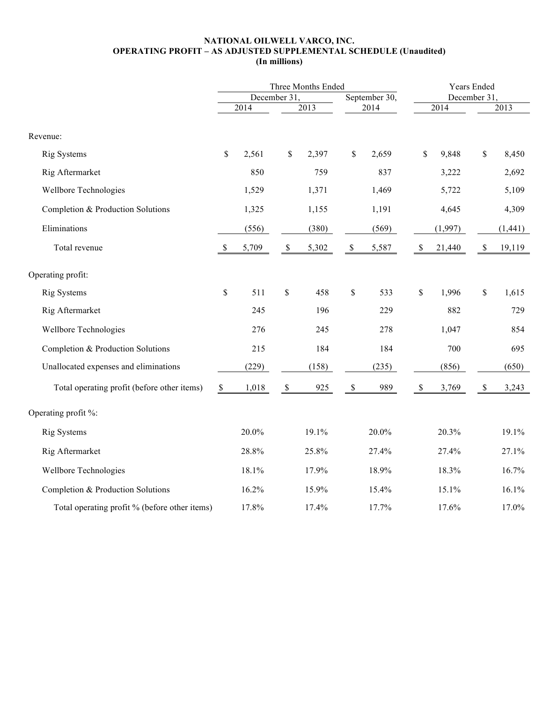### **NATIONAL OILWELL VARCO, INC. OPERATING PROFIT – AS ADJUSTED SUPPLEMENTAL SCHEDULE (Unaudited) (In millions)**

|                                               |              |       |              | Three Months Ended |             | Years Ended   |              |             |              |         |  |
|-----------------------------------------------|--------------|-------|--------------|--------------------|-------------|---------------|--------------|-------------|--------------|---------|--|
|                                               |              |       | December 31. |                    |             | September 30, |              | December 31 |              |         |  |
|                                               |              | 2014  |              | $\sqrt{2013}$      |             | 2014          |              | 2014        |              | 2013    |  |
| Revenue:                                      |              |       |              |                    |             |               |              |             |              |         |  |
| Rig Systems                                   | $\mathbb{S}$ | 2,561 | \$           | 2,397              | \$          | 2,659         | $\mathbb S$  | 9,848       | \$           | 8,450   |  |
| Rig Aftermarket                               |              | 850   |              | 759                |             | 837           |              | 3,222       |              | 2,692   |  |
| Wellbore Technologies                         |              | 1,529 |              | 1,371              |             | 1,469         |              | 5,722       |              | 5,109   |  |
| Completion & Production Solutions             |              | 1,325 |              | 1,155              |             | 1,191         |              | 4,645       |              | 4,309   |  |
| Eliminations                                  |              | (556) |              | (380)              |             | (569)         |              | (1,997)     |              | (1,441) |  |
| Total revenue                                 | $\mathbb{S}$ | 5,709 | $\mathbb{S}$ | 5,302              | $\mathbb S$ | 5,587         | $\mathbb{S}$ | 21,440      | $\mathbb{S}$ | 19,119  |  |
| Operating profit:                             |              |       |              |                    |             |               |              |             |              |         |  |
| <b>Rig Systems</b>                            | $\mathbb S$  | 511   | \$           | 458                | $\mathbb S$ | 533           | $\mathbb{S}$ | 1,996       | $\mathbb{S}$ | 1,615   |  |
| Rig Aftermarket                               |              | 245   |              | 196                |             | 229           |              | 882         |              | 729     |  |
| Wellbore Technologies                         |              | 276   |              | 245                |             | 278           |              | 1,047       |              | 854     |  |
| Completion & Production Solutions             |              | 215   |              | 184                |             | 184           |              | 700         |              | 695     |  |
| Unallocated expenses and eliminations         |              | (229) |              | (158)              |             | (235)         |              | (856)       |              | (650)   |  |
| Total operating profit (before other items)   | $\mathbb S$  | 1,018 | $\mathbb{S}$ | 925                | $\$$        | 989           | $\mathbb S$  | 3,769       | $\mathbb S$  | 3,243   |  |
| Operating profit %:                           |              |       |              |                    |             |               |              |             |              |         |  |
| Rig Systems                                   |              | 20.0% |              | 19.1%              |             | 20.0%         |              | 20.3%       |              | 19.1%   |  |
| Rig Aftermarket                               |              | 28.8% |              | 25.8%              |             | 27.4%         |              | 27.4%       |              | 27.1%   |  |
| Wellbore Technologies                         |              | 18.1% |              | 17.9%              |             | 18.9%         |              | 18.3%       |              | 16.7%   |  |
| Completion & Production Solutions             |              | 16.2% |              | 15.9%              |             | 15.4%         |              | 15.1%       |              | 16.1%   |  |
| Total operating profit % (before other items) |              | 17.8% |              | 17.4%              |             | 17.7%         |              | 17.6%       |              | 17.0%   |  |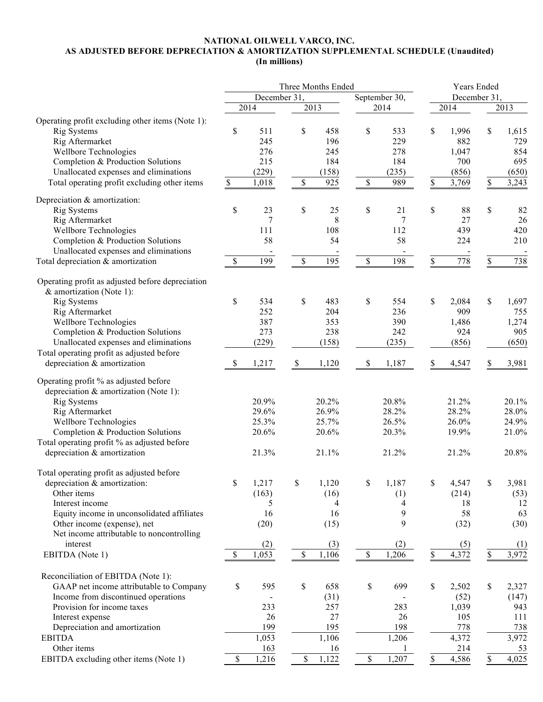### **NATIONAL OILWELL VARCO, INC. AS ADJUSTED BEFORE DEPRECIATION & AMORTIZATION SUPPLEMENTAL SCHEDULE (Unaudited) (In millions)**

|                                                                                |              | Three Months Ended |               |                |              | Years Ended    |               |       |              |              |  |
|--------------------------------------------------------------------------------|--------------|--------------------|---------------|----------------|--------------|----------------|---------------|-------|--------------|--------------|--|
|                                                                                | December 31  |                    |               |                |              | September 30,  | December 31.  |       |              |              |  |
|                                                                                |              | 2014               |               | 2013           |              | 2014           |               | 2014  |              | 2013         |  |
|                                                                                |              |                    |               |                |              |                |               |       |              |              |  |
| Operating profit excluding other items (Note 1):<br><b>Rig Systems</b>         | \$           | 511                | \$            | 458            | \$           | 533            | \$            | 1,996 | \$           |              |  |
|                                                                                |              | 245                |               | 196            |              | 229            |               | 882   |              | 1,615<br>729 |  |
| Rig Aftermarket                                                                |              |                    |               |                |              |                |               |       |              |              |  |
| Wellbore Technologies                                                          |              | 276                |               | 245            |              | 278            |               | 1,047 |              | 854          |  |
| Completion & Production Solutions                                              |              | 215                |               | 184            |              | 184            |               | 700   |              | 695          |  |
| Unallocated expenses and eliminations                                          |              | (229)              |               | (158)          |              | (235)          |               | (856) |              | (650)        |  |
| Total operating profit excluding other items                                   | $\mathbb{S}$ | 1,018              | $\mathcal{S}$ | 925            | $\mathbb{S}$ | 989            | \$            | 3,769 | \$           | 3,243        |  |
| Depreciation & amortization:                                                   |              |                    |               |                |              |                |               |       |              |              |  |
| <b>Rig Systems</b>                                                             | \$           | 23                 | $\$$          | 25             | \$           | 21             | \$            | 88    | \$           | 82           |  |
| Rig Aftermarket                                                                |              | 7                  |               | 8              |              | 7              |               | 27    |              | 26           |  |
| Wellbore Technologies                                                          |              | 111                |               | 108            |              | 112            |               | 439   |              | 420          |  |
| Completion & Production Solutions                                              |              | 58                 |               | 54             |              | 58             |               | 224   |              | 210          |  |
| Unallocated expenses and eliminations                                          |              | $\blacksquare$     |               | $\blacksquare$ |              | $\blacksquare$ |               |       |              |              |  |
| Total depreciation & amortization                                              | \$           | 199                | $\mathbb{S}$  | 195            | $\mathbb{S}$ | 198            | $\frac{1}{2}$ | 778   | \$           | 738          |  |
|                                                                                |              |                    |               |                |              |                |               |       |              |              |  |
| Operating profit as adjusted before depreciation                               |              |                    |               |                |              |                |               |       |              |              |  |
| & amortization (Note 1):                                                       |              |                    |               |                |              |                |               |       |              |              |  |
| <b>Rig Systems</b>                                                             | \$           | 534                | $\$$          | 483            | \$           | 554            | \$            | 2,084 | \$           | 1,697        |  |
| Rig Aftermarket                                                                |              | 252                |               | 204            |              | 236            |               | 909   |              | 755          |  |
| Wellbore Technologies                                                          |              | 387                |               | 353            |              | 390            |               | 1,486 |              | 1,274        |  |
| Completion & Production Solutions                                              |              | 273                |               | 238            |              | 242            |               | 924   |              | 905          |  |
| Unallocated expenses and eliminations                                          |              | (229)              |               | (158)          |              | (235)          |               | (856) |              | (650)        |  |
| Total operating profit as adjusted before                                      |              |                    |               |                |              |                |               |       |              |              |  |
| depreciation & amortization                                                    | \$           | 1,217              | $\mathbb S$   | 1,120          | \$           | 1,187          | \$            | 4,547 | S            | 3,981        |  |
| Operating profit % as adjusted before<br>depreciation & amortization (Note 1): |              |                    |               |                |              |                |               |       |              |              |  |
| <b>Rig Systems</b>                                                             |              | 20.9%              |               | 20.2%          |              | 20.8%          |               | 21.2% |              | 20.1%        |  |
| Rig Aftermarket                                                                |              | 29.6%              |               | 26.9%          |              | 28.2%          |               | 28.2% |              | 28.0%        |  |
| Wellbore Technologies                                                          |              | 25.3%              |               | 25.7%          |              | 26.5%          |               | 26.0% |              | 24.9%        |  |
| Completion & Production Solutions                                              |              | 20.6%              |               | 20.6%          |              | 20.3%          |               | 19.9% |              | 21.0%        |  |
| Total operating profit % as adjusted before                                    |              |                    |               |                |              |                |               |       |              |              |  |
| depreciation & amortization                                                    |              | 21.3%              |               | 21.1%          |              | 21.2%          |               | 21.2% |              | 20.8%        |  |
|                                                                                |              |                    |               |                |              |                |               |       |              |              |  |
| Total operating profit as adjusted before                                      |              |                    |               |                |              |                |               |       |              |              |  |
| depreciation & amortization:                                                   | \$           | 1,217              | \$            | 1,120          | $\mathbb{S}$ | 1,187          | \$            | 4,547 | \$           | 3,981        |  |
| Other items                                                                    |              | (163)              |               | (16)           |              | (1)            |               | (214) |              | (53)         |  |
| Interest income                                                                |              | 5                  |               | 4              |              | 4              |               | 18    |              | 12           |  |
| Equity income in unconsolidated affiliates                                     |              | 16                 |               | 16             |              | 9              |               | 58    |              | 63           |  |
| Other income (expense), net                                                    |              | (20)               |               | (15)           |              | 9              |               | (32)  |              | (30)         |  |
| Net income attributable to noncontrolling                                      |              |                    |               |                |              |                |               |       |              |              |  |
| interest                                                                       |              | (2)                |               | (3)            |              | (2)            |               | (5)   |              | (1)          |  |
| EBITDA (Note 1)                                                                | \$           | 1,053              | $\mathbb S$   | 1,106          | $\mathbb S$  | 1,206          | \$            | 4,372 | \$           | 3,972        |  |
|                                                                                |              |                    |               |                |              |                |               |       |              |              |  |
| Reconciliation of EBITDA (Note 1):                                             |              |                    |               |                |              |                |               |       |              |              |  |
| GAAP net income attributable to Company                                        | $\mathbb S$  | 595                | $\mathbb S$   | 658            | \$           | 699            | \$            | 2,502 | $\mathbb{S}$ | 2,327        |  |
| Income from discontinued operations                                            |              |                    |               | (31)           |              |                |               | (52)  |              | (147)        |  |
| Provision for income taxes                                                     |              | 233                |               | 257            |              | 283            |               | 1,039 |              | 943          |  |
| Interest expense                                                               |              | 26                 |               | 27             |              | 26             |               | 105   |              | 111          |  |
| Depreciation and amortization                                                  |              | 199                |               | 195            |              | 198            |               | 778   |              | 738          |  |
| <b>EBITDA</b>                                                                  |              | 1,053              |               | 1,106          |              | 1,206          |               | 4,372 |              | 3,972        |  |
| Other items                                                                    |              | 163                |               | 16             |              |                |               | 214   |              | 53           |  |
| EBITDA excluding other items (Note 1)                                          | \$           | 1,216              | \$            | 1,122          | \$           | 1,207          | \$            | 4,586 | $\mathbf S$  | 4,025        |  |